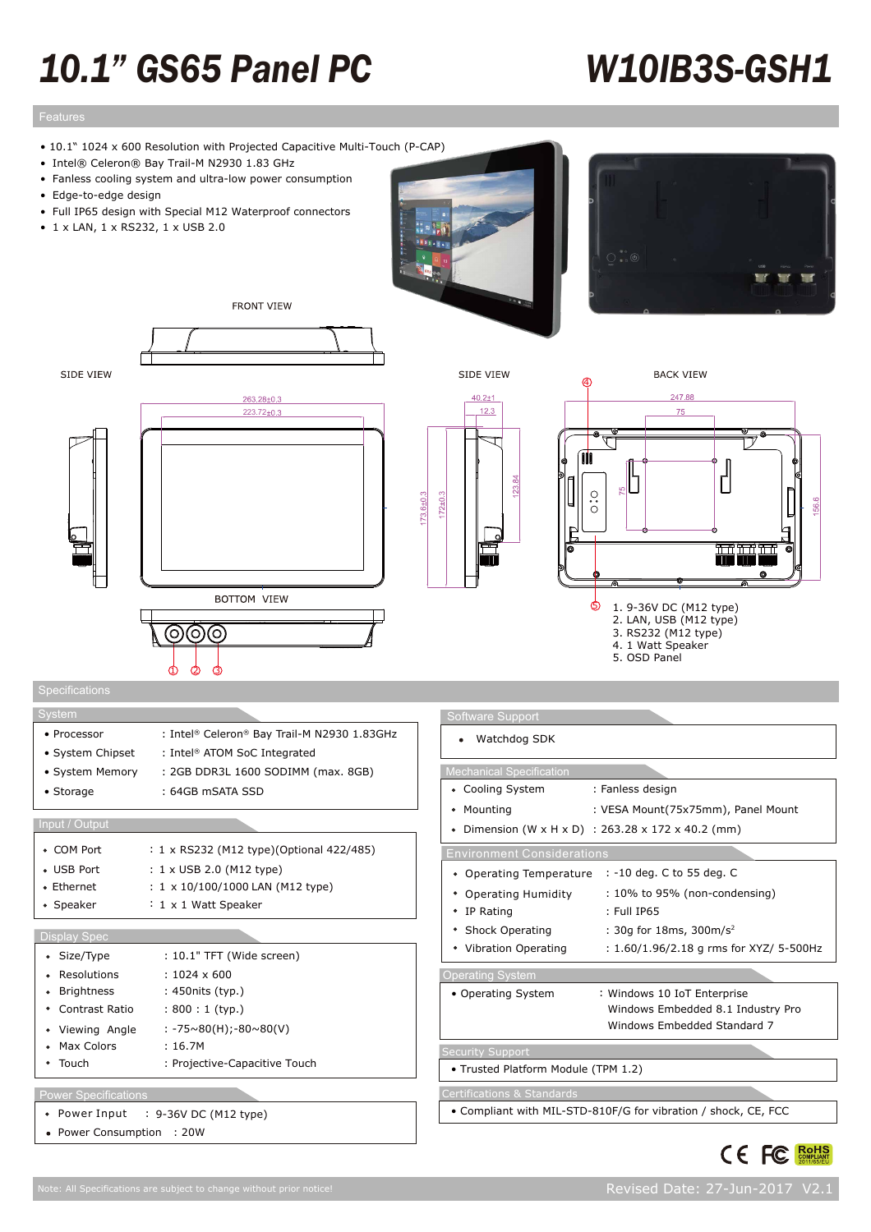# *10.1" GS65 Panel PC*

# *W10IB3S-GSH1*

• 10.1" 1024 x 600 Resolution with Projected Capacitive Multi-Touch (P-CAP)

**FRONT VIEW** 

- Intel® Celeron® Bay Trail-M N2930 1.83 GHz
- Fanless cooling system and ultra-low power consumption
- Edge-to-edge design
- Full IP65 design with Special M12 Waterproof connectors
- 1 x LAN, 1 x RS232, 1 x USB 2.0



 $172 \pm 0.3$ 









| stem             |                                             |
|------------------|---------------------------------------------|
| • Processor      | : Intel® Celeron® Bay Trail-M N2930 1.83GHz |
| • System Chipset | : Intel <sup>®</sup> ATOM SoC Integrated    |
| • System Memory  | : 2GB DDR3L 1600 SODIMM (max. 8GB)          |
| • Storage        | : 64GB mSATA SSD                            |
|                  |                                             |

 $\dot{\mathbb{G}}$ 

### Input / Output

| Display Spec |                                           |
|--------------|-------------------------------------------|
| • Speaker    | $: 1 \times 1$ Watt Speaker               |
| • Ethernet   | : $1 \times 10/100/1000$ LAN (M12 type)   |
| • USB Port   | $: 1 \times$ USB 2.0 (M12 type)           |
| • COM Port   | : 1 x RS232 (M12 type) (Optional 422/485) |
|              |                                           |

### • Size/Type : 10.1" TFT (Wide screen) : 1024 x 600 • Resolutions • Brightness : 450 nits (typ.)  $\bullet$ Contrast Ratio : 800 : 1 (typ.) Viewing Angle : -75~80(H);-80~80(V) • Max Colors : 16.7M Touch : Projective-Capacitive Touch

## Power Specifications

- Power Input : 9-36V DC (M12 type)
- Power Consumption : 20W

| Software Support                                               |                                                  |  |  |  |  |
|----------------------------------------------------------------|--------------------------------------------------|--|--|--|--|
| Watchdog SDK                                                   |                                                  |  |  |  |  |
|                                                                |                                                  |  |  |  |  |
| <b>Mechanical Specification</b>                                |                                                  |  |  |  |  |
| • Cooling System                                               | : Fanless design                                 |  |  |  |  |
| • Mounting                                                     | : VESA Mount(75x75mm), Panel Mount               |  |  |  |  |
|                                                                | Dimension (W x H x D) : 263.28 x 172 x 40.2 (mm) |  |  |  |  |
| <b>Environment Considerations</b>                              |                                                  |  |  |  |  |
| Operating Temperature<br>٠                                     | : -10 deg. C to 55 deg. C                        |  |  |  |  |
| Operating Humidity                                             | $: 10\%$ to 95% (non-condensing)                 |  |  |  |  |
| IP Rating<br>٠                                                 | $:$ Full IP65                                    |  |  |  |  |
| <b>Shock Operating</b>                                         | : 30g for 18ms, 300m/s <sup>2</sup>              |  |  |  |  |
| Vibration Operating                                            | : 1.60/1.96/2.18 g rms for XYZ/ 5-500Hz          |  |  |  |  |
| <b>Operating System</b>                                        |                                                  |  |  |  |  |
| • Operating System                                             | : Windows 10 IoT Enterprise                      |  |  |  |  |
|                                                                | Windows Embedded 8.1 Industry Pro                |  |  |  |  |
|                                                                | Windows Embedded Standard 7                      |  |  |  |  |
| <b>Security Support</b>                                        |                                                  |  |  |  |  |
| · Trusted Platform Module (TPM 1.2)                            |                                                  |  |  |  |  |
| <b>Certifications &amp; Standards</b>                          |                                                  |  |  |  |  |
| • Compliant with MIL-STD-810F/G for vibration / shock, CE, FCC |                                                  |  |  |  |  |



CE FC Rolls